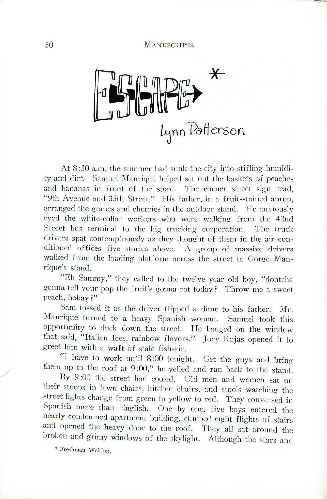$\bigstar$ Lynn Patterson

At 8 :30 a.m. the summer had sunk the city into stifling humidity and dirt. Samuel Manrique helped set out the baskets of peaches and bananas in front of the store. The comer street sign read, "9th Avenue and 35th Street." His father, in a fruit-stained apron, arranged the grapes and cherries in the outdoor stand. He anxiously eyed the white-collar workers who were walking from the 42nd Street bus terminal to the big trucking corporation. The truck drivers spat contemptuously as they thought of them in the air conditioned offices five stories above. A group of massive drivers walked from the loading platform across the street to Gorge Manrique's stand.

"Eh Sammy," they called to the twelve year old boy, "dontcha gonna tell your pop the fruit's gonna rot today? Throw me a sweet peach, hokay?"

Sam tossed it as the driver flipped a dime to his father. Mr. Manrique turned to a heavy Spanish woman. Samuel took this opportunity to duck down the street. He banged on the window that said, "Italian Ices, rainbow flavors." Joey Rojas opened it to greet him with a waft of stale fish-air.

"I have to work until 8 :00 tonight. Get the guys and bring them up to the roof at 9 :00," he yelled and ran back to the stand.

By 9 :00 the street had cooled. Old men and women sat on their stoops in lawn chairs, kitchen chairs, and stools watching the street lights change from green to yellow to red. They conversed in Spanish more than English. One by one, five boys entered the nearly condemned apartment building, climbed eight flights of stairs and opened the heavy door to the roof. They all sat around the broken and grimy windows of the skylight. Although the stars and

\* **Freshman Writing.**

/